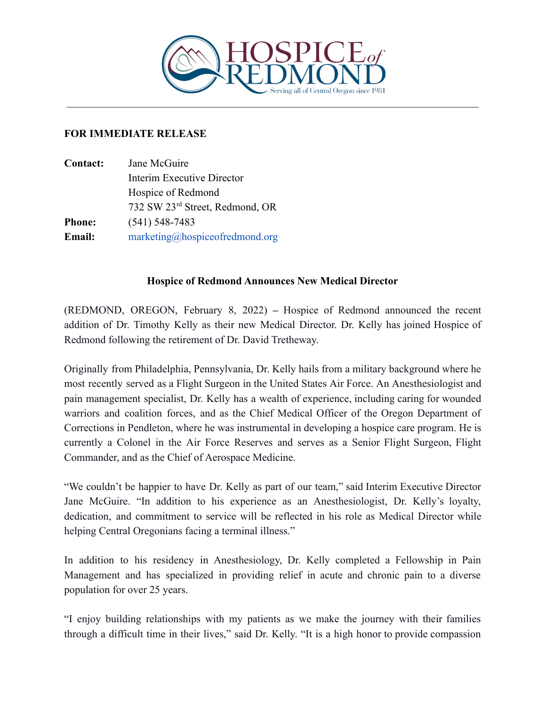

## **FOR IMMEDIATE RELEASE**

| <b>Contact:</b> | Jane McGuire                    |
|-----------------|---------------------------------|
|                 | Interim Executive Director      |
|                 | Hospice of Redmond              |
|                 | 732 SW 23rd Street, Redmond, OR |
| <b>Phone:</b>   | $(541)$ 548-7483                |
| <b>Email:</b>   | marketing@hospiceofredmond.org  |

## **Hospice of Redmond Announces New Medical Director**

(REDMOND, OREGON, February 8, 2022) **–** Hospice of Redmond announced the recent addition of Dr. Timothy Kelly as their new Medical Director. Dr. Kelly has joined Hospice of Redmond following the retirement of Dr. David Tretheway.

Originally from Philadelphia, Pennsylvania, Dr. Kelly hails from a military background where he most recently served as a Flight Surgeon in the United States Air Force. An Anesthesiologist and pain management specialist, Dr. Kelly has a wealth of experience, including caring for wounded warriors and coalition forces, and as the Chief Medical Officer of the Oregon Department of Corrections in Pendleton, where he was instrumental in developing a hospice care program. He is currently a Colonel in the Air Force Reserves and serves as a Senior Flight Surgeon, Flight Commander, and as the Chief of Aerospace Medicine.

"We couldn't be happier to have Dr. Kelly as part of our team," said Interim Executive Director Jane McGuire. "In addition to his experience as an Anesthesiologist, Dr. Kelly's loyalty, dedication, and commitment to service will be reflected in his role as Medical Director while helping Central Oregonians facing a terminal illness."

In addition to his residency in Anesthesiology, Dr. Kelly completed a Fellowship in Pain Management and has specialized in providing relief in acute and chronic pain to a diverse population for over 25 years.

"I enjoy building relationships with my patients as we make the journey with their families through a difficult time in their lives," said Dr. Kelly. "It is a high honor to provide compassion